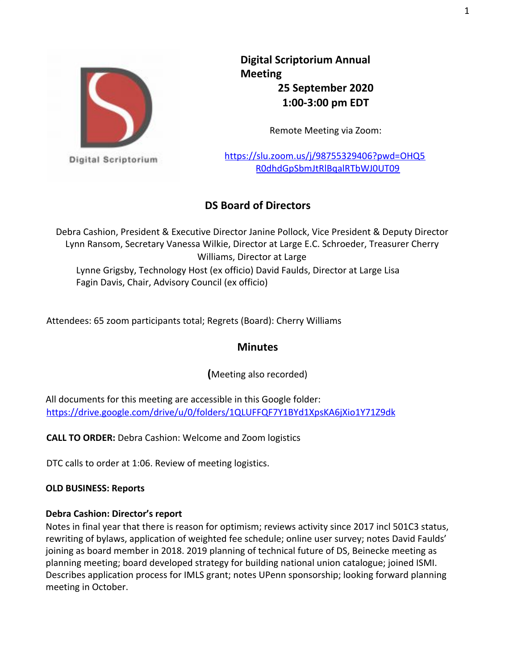

**Digital Scriptorium Annual Meeting 25 September 2020 1:00-3:00 pm EDT**

Remote Meeting via Zoom:

https://slu.zoom.us/j/98755329406?pwd=OHQ5 R0dhdGpSbmJtRlBqalRTbWJ0UT09

# **DS Board of Directors**

Debra Cashion, President & Executive Director Janine Pollock, Vice President & Deputy Director Lynn Ransom, Secretary Vanessa Wilkie, Director at Large E.C. Schroeder, Treasurer Cherry Williams, Director at Large Lynne Grigsby, Technology Host (ex officio) David Faulds, Director at Large Lisa Fagin Davis, Chair, Advisory Council (ex officio)

Attendees: 65 zoom participants total; Regrets (Board): Cherry Williams

## **Minutes**

**(**Meeting also recorded)

All documents for this meeting are accessible in this Google folder: https://drive.google.com/drive/u/0/folders/1QLUFFQF7Y1BYd1XpsKA6jXio1Y71Z9dk

**CALL TO ORDER:** Debra Cashion: Welcome and Zoom logistics

DTC calls to order at 1:06. Review of meeting logistics.

## **OLD BUSINESS: Reports**

## **Debra Cashion: Director's report**

Notes in final year that there is reason for optimism; reviews activity since 2017 incl 501C3 status, rewriting of bylaws, application of weighted fee schedule; online user survey; notes David Faulds' joining as board member in 2018. 2019 planning of technical future of DS, Beinecke meeting as planning meeting; board developed strategy for building national union catalogue; joined ISMI. Describes application process for IMLS grant; notes UPenn sponsorship; looking forward planning meeting in October.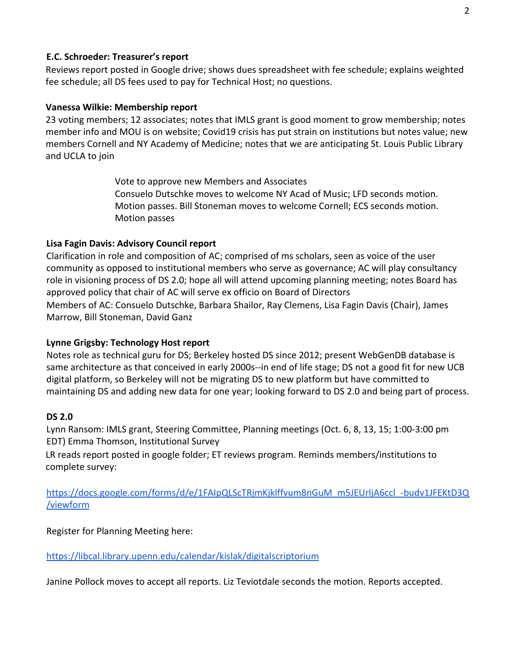#### **E.C. Schroeder: Treasurer's report**

Reviews report posted in Google drive; shows dues spreadsheet with fee schedule; explains weighted fee schedule; all DS fees used to pay for Technical Host; no questions.

#### **Vanessa Wilkie: Membership report**

23 voting members; 12 associates; notes that IMLS grant is good moment to grow membership; notes member info and MOU is on website; Covid19 crisis has put strain on institutions but notes value; new members Cornell and NY Academy of Medicine; notes that we are anticipating St. Louis Public Library and UCLA to join

> Vote to approve new Members and Associates Consuelo Dutschke moves to welcome NY Acad of Music; LFD seconds motion. Motion passes. Bill Stoneman moves to welcome Cornell; ECS seconds motion. Motion passes

#### **Lisa Fagin Davis: Advisory Council report**

Clarification in role and composition of AC; comprised of ms scholars, seen as voice of the user community as opposed to institutional members who serve as governance; AC will play consultancy role in visioning process of DS 2.0; hope all will attend upcoming planning meeting; notes Board has approved policy that chair of AC will serve ex officio on Board of Directors Members of AC: Consuelo Dutschke, Barbara Shailor, Ray Clemens, Lisa Fagin Davis (Chair), James Marrow, Bill Stoneman, David Ganz

#### **Lynne Grigsby: Technology Host report**

Notes role as technical guru for DS; Berkeley hosted DS since 2012; present WebGenDB database is same architecture as that conceived in early 2000s--in end of life stage; DS not a good fit for new UCB digital platform, so Berkeley will not be migrating DS to new platform but have committed to maintaining DS and adding new data for one year; looking forward to DS 2.0 and being part of process.

#### **DS 2.0**

Lynn Ransom: IMLS grant, Steering Committee, Planning meetings (Oct. 6, 8, 13, 15; 1:00-3:00 pm EDT) Emma Thomson, Institutional Survey

LR reads report posted in google folder; ET reviews program. Reminds members/institutions to complete survey:

[https://docs.google.com/forms/d/e/1FAIpQLScTRjmKjklffvum8nGuM\\_m5JEUrljA6ccl\\_-budv1JFEKtD3Q](https://docs.google.com/forms/d/e/1FAIpQLScTRjmKjklffvum8nGuM_m5JEUrljA6ccl_-budv1JFEKtD3Q/viewform) [/viewform](https://docs.google.com/forms/d/e/1FAIpQLScTRjmKjklffvum8nGuM_m5JEUrljA6ccl_-budv1JFEKtD3Q/viewform)

Register for Planning Meeting here:

<https://libcal.library.upenn.edu/calendar/kislak/digitalscriptorium>

Janine Pollock moves to accept all reports. Liz Teviotdale seconds the motion. Reports accepted.